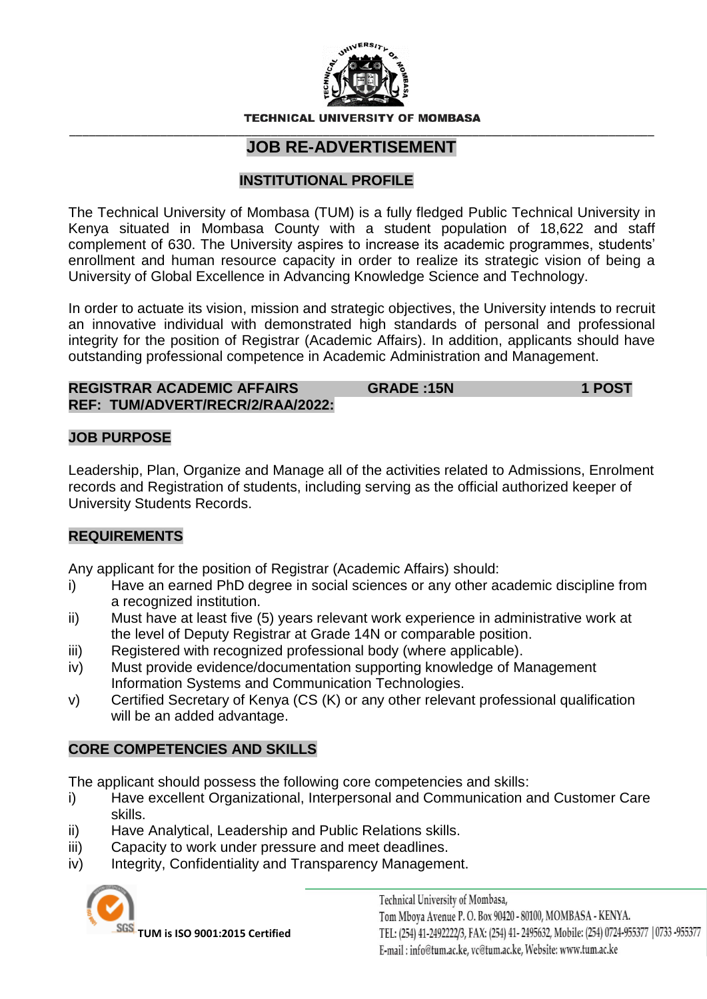

**TECHNICAL UNIVERSIT** OF MOMRASA

#### \_\_\_\_\_\_\_\_\_\_\_\_\_\_\_\_\_\_\_\_\_\_\_\_\_\_\_\_\_\_\_\_\_\_\_\_\_\_\_\_\_\_\_\_\_\_\_\_\_\_\_\_\_\_\_\_\_\_\_\_\_\_\_\_\_\_\_\_\_\_\_\_\_\_\_\_\_\_\_\_\_\_\_\_\_\_\_\_\_\_ **JOB RE-ADVERTISEMENT**

# **INSTITUTIONAL PROFILE**

The Technical University of Mombasa (TUM) is a fully fledged Public Technical University in Kenya situated in Mombasa County with a student population of 18,622 and staff complement of 630. The University aspires to increase its academic programmes, students' enrollment and human resource capacity in order to realize its strategic vision of being a University of Global Excellence in Advancing Knowledge Science and Technology.

In order to actuate its vision, mission and strategic objectives, the University intends to recruit an innovative individual with demonstrated high standards of personal and professional integrity for the position of Registrar (Academic Affairs). In addition, applicants should have outstanding professional competence in Academic Administration and Management.

#### **REGISTRAR ACADEMIC AFFAIRS GRADE :15N 1 POST REF: TUM/ADVERT/RECR/2/RAA/2022:**

#### **JOB PURPOSE**

Leadership, Plan, Organize and Manage all of the activities related to Admissions, Enrolment records and Registration of students, including serving as the official authorized keeper of University Students Records.

# **REQUIREMENTS**

Any applicant for the position of Registrar (Academic Affairs) should:

- i) Have an earned PhD degree in social sciences or any other academic discipline from a recognized institution.
- ii) Must have at least five (5) years relevant work experience in administrative work at the level of Deputy Registrar at Grade 14N or comparable position.
- iii) Registered with recognized professional body (where applicable).
- iv) Must provide evidence/documentation supporting knowledge of Management Information Systems and Communication Technologies.
- v) Certified Secretary of Kenya (CS (K) or any other relevant professional qualification will be an added advantage.

# **CORE COMPETENCIES AND SKILLS**

The applicant should possess the following core competencies and skills:

- i) Have excellent Organizational, Interpersonal and Communication and Customer Care skills.
- ii) Have Analytical, Leadership and Public Relations skills.
- iii) Capacity to work under pressure and meet deadlines.
- iv) Integrity, Confidentiality and Transparency Management.



**TUM is ISO 9001:2015 Certified**

Technical University of Mombasa, Tom Mboya Avenue P. O. Box 90420 - 80100, MOMBASA - KENYA. TEL: (254) 41-2492222/3, FAX: (254) 41-2495632, Mobile: (254) 0724-955377 | 0733 -955377 E-mail: info@tum.ac.ke, vc@tum.ac.ke, Website: www.tum.ac.ke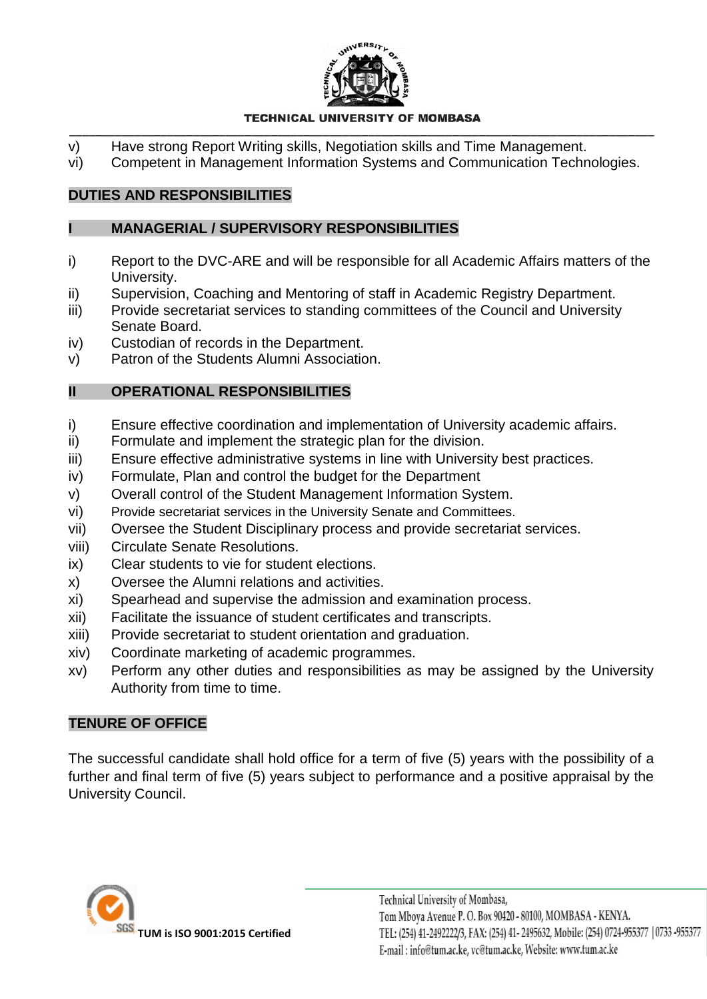

#### **TECHNICAL UNIVERSITY OF MOMBASA** \_\_\_\_\_\_\_\_\_\_\_\_\_\_\_\_\_\_\_\_\_\_\_\_\_\_\_\_\_\_\_\_\_\_\_\_\_\_\_\_\_\_\_\_\_\_\_\_\_\_\_\_\_\_\_\_\_\_\_\_\_\_\_\_\_\_\_\_\_\_\_\_\_\_\_\_\_\_\_\_\_\_\_\_\_\_\_\_\_\_

- v) Have strong Report Writing skills, Negotiation skills and Time Management.
- vi) Competent in Management Information Systems and Communication Technologies.

# **DUTIES AND RESPONSIBILITIES**

## **I MANAGERIAL / SUPERVISORY RESPONSIBILITIES**

- i) Report to the DVC-ARE and will be responsible for all Academic Affairs matters of the University.
- ii) Supervision, Coaching and Mentoring of staff in Academic Registry Department.
- iii) Provide secretariat services to standing committees of the Council and University Senate Board.
- iv) Custodian of records in the Department.
- v) Patron of the Students Alumni Association.

# **II OPERATIONAL RESPONSIBILITIES**

- i) Ensure effective coordination and implementation of University academic affairs.
- ii) Formulate and implement the strategic plan for the division.
- iii) Ensure effective administrative systems in line with University best practices.
- iv) Formulate, Plan and control the budget for the Department
- v) Overall control of the Student Management Information System.
- vi) Provide secretariat services in the University Senate and Committees.
- vii) Oversee the Student Disciplinary process and provide secretariat services.
- viii) Circulate Senate Resolutions.
- ix) Clear students to vie for student elections.
- x) Oversee the Alumni relations and activities.
- xi) Spearhead and supervise the admission and examination process.
- xii) Facilitate the issuance of student certificates and transcripts.
- xiii) Provide secretariat to student orientation and graduation.
- xiv) Coordinate marketing of academic programmes.
- xv) Perform any other duties and responsibilities as may be assigned by the University Authority from time to time.

# **TENURE OF OFFICE**

The successful candidate shall hold office for a term of five (5) years with the possibility of a further and final term of five (5) years subject to performance and a positive appraisal by the University Council.

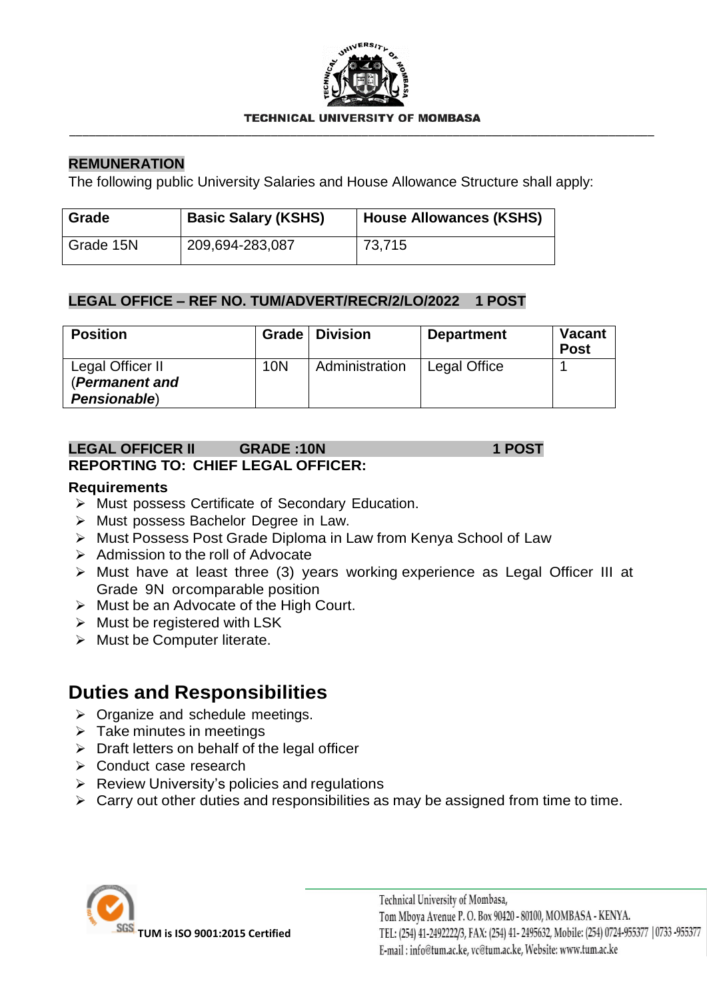

#### **TECHNICAL UNIVERSIT** OF MOMRASA \_\_\_\_\_\_\_\_\_\_\_\_\_\_\_\_\_\_\_\_\_\_\_\_\_\_\_\_\_\_\_\_\_\_\_\_\_\_\_\_\_\_\_\_\_\_\_\_\_\_\_\_\_\_\_\_\_\_\_\_\_\_\_\_\_\_\_\_\_\_\_\_\_\_\_\_\_\_\_\_\_\_\_\_\_\_\_\_\_\_

## **REMUNERATION**

The following public University Salaries and House Allowance Structure shall apply:

| Grade     | <b>Basic Salary (KSHS)</b> | House Allowances (KSHS) |
|-----------|----------------------------|-------------------------|
| Grade 15N | 209,694-283,087            | 73,715                  |

#### **LEGAL OFFICE – REF NO. TUM/ADVERT/RECR/2/LO/2022 1 POST**

| <b>Position</b>                    |            | Grade   Division | <b>Department</b> | Vacant<br><b>Post</b> |
|------------------------------------|------------|------------------|-------------------|-----------------------|
| Legal Officer II<br>(Permanent and | <b>10N</b> | Administration   | Legal Office      |                       |
| Pensionable)                       |            |                  |                   |                       |

## **LEGAL OFFICER II GRADE :10N 1 POST REPORTING TO: CHIEF LEGAL OFFICER:**

#### **Requirements**

- ➢ Must possess Certificate of Secondary Education.
- ➢ Must possess Bachelor Degree in Law.
- ➢ Must Possess Post Grade Diploma in Law from Kenya School of Law
- ➢ Admission to the roll of Advocate
- ➢ Must have at least three (3) years working experience as Legal Officer III at Grade 9N orcomparable position
- $\triangleright$  Must be an Advocate of the High Court.
- $\triangleright$  Must be registered with LSK
- ➢ Must be Computer literate.

# **Duties and Responsibilities**

- ➢ Organize and schedule meetings.
- $\triangleright$  Take minutes in meetings
- $\triangleright$  Draft letters on behalf of the legal officer
- ➢ Conduct case research
- $\triangleright$  Review University's policies and regulations
- $\triangleright$  Carry out other duties and responsibilities as may be assigned from time to time.